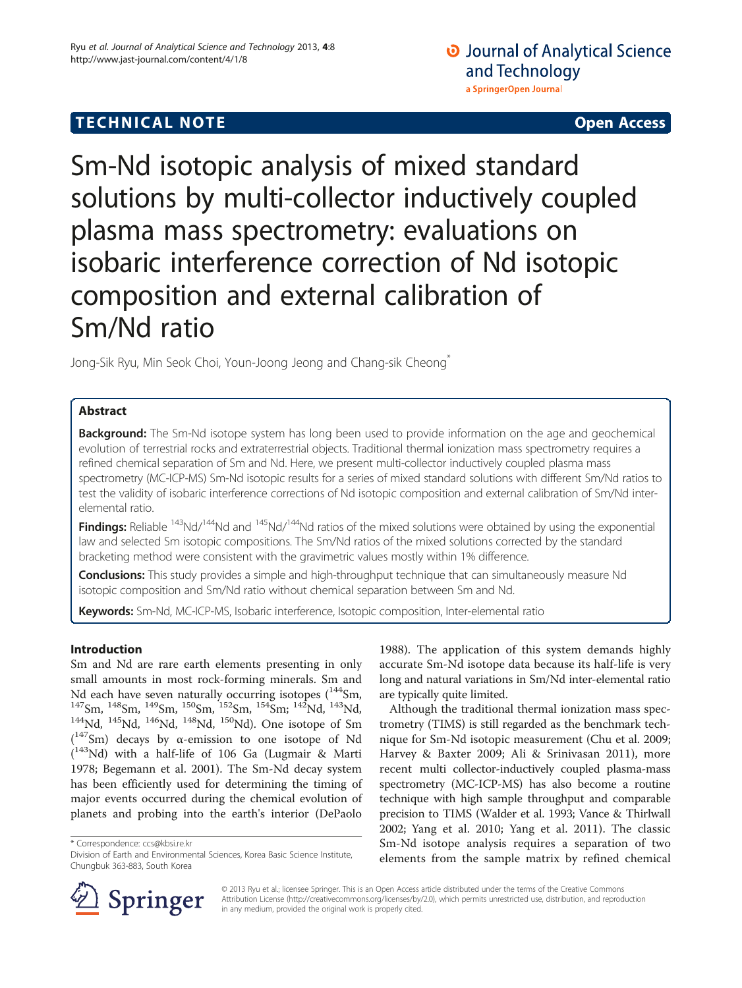# **TECHNICAL NOTE CONSIDERING ACCESS**

Sm-Nd isotopic analysis of mixed standard solutions by multi-collector inductively coupled plasma mass spectrometry: evaluations on isobaric interference correction of Nd isotopic composition and external calibration of Sm/Nd ratio

Jong-Sik Ryu, Min Seok Choi, Youn-Joong Jeong and Chang-sik Cheong<sup>\*</sup>

## Abstract

Background: The Sm-Nd isotope system has long been used to provide information on the age and geochemical evolution of terrestrial rocks and extraterrestrial objects. Traditional thermal ionization mass spectrometry requires a refined chemical separation of Sm and Nd. Here, we present multi-collector inductively coupled plasma mass spectrometry (MC-ICP-MS) Sm-Nd isotopic results for a series of mixed standard solutions with different Sm/Nd ratios to test the validity of isobaric interference corrections of Nd isotopic composition and external calibration of Sm/Nd interelemental ratio.

Findinas: Reliable <sup>143</sup>Nd/<sup>144</sup>Nd and <sup>145</sup>Nd/<sup>144</sup>Nd ratios of the mixed solutions were obtained by using the exponential law and selected Sm isotopic compositions. The Sm/Nd ratios of the mixed solutions corrected by the standard bracketing method were consistent with the gravimetric values mostly within 1% difference.

Conclusions: This study provides a simple and high-throughput technique that can simultaneously measure Nd isotopic composition and Sm/Nd ratio without chemical separation between Sm and Nd.

Keywords: Sm-Nd, MC-ICP-MS, Isobaric interference, Isotopic composition, Inter-elemental ratio

## Introduction

Sm and Nd are rare earth elements presenting in only small amounts in most rock-forming minerals. Sm and Nd each have seven naturally occurring isotopes  $(^{144}Sm$ , <sup>147</sup>Sm, <sup>148</sup>Sm, <sup>149</sup>Sm, <sup>150</sup>Sm, <sup>152</sup>Sm, <sup>154</sup>Sm; <sup>142</sup>Nd, <sup>143</sup>Nd, <sup>143</sup>Nd, <sup>145</sup>Nd, <sup>145</sup>Nd, <sup>145</sup>Nd, <sup>145</sup>Nd, <sup>146</sup>Nd, <sup>146</sup>Nd, 1<sup>46</sup>Nd, 1<sup>46</sup>Nd). One isotope of Sm ( 147Sm) decays by α-emission to one isotope of Nd ( 143Nd) with a half-life of 106 Ga (Lugmair & Marti [1978](#page-4-0); Begemann et al. [2001](#page-4-0)). The Sm-Nd decay system has been efficiently used for determining the timing of major events occurred during the chemical evolution of planets and probing into the earth's interior (DePaolo

\* Correspondence: [ccs@kbsi.re.kr](mailto:ccs@kbsi.re.kr)

[1988](#page-4-0)). The application of this system demands highly accurate Sm-Nd isotope data because its half-life is very long and natural variations in Sm/Nd inter-elemental ratio are typically quite limited.

Although the traditional thermal ionization mass spectrometry (TIMS) is still regarded as the benchmark technique for Sm-Nd isotopic measurement (Chu et al. [2009](#page-4-0); Harvey & Baxter [2009](#page-4-0); Ali & Srinivasan [2011\)](#page-4-0), more recent multi collector-inductively coupled plasma-mass spectrometry (MC-ICP-MS) has also become a routine technique with high sample throughput and comparable precision to TIMS (Walder et al. [1993;](#page-4-0) Vance & Thirlwall [2002](#page-4-0); Yang et al. [2010](#page-4-0); Yang et al. [2011\)](#page-4-0). The classic Sm-Nd isotope analysis requires a separation of two elements from the sample matrix by refined chemical



© 2013 Ryu et al.; licensee Springer. This is an Open Access article distributed under the terms of the Creative Commons Attribution License [\(http://creativecommons.org/licenses/by/2.0\)](http://creativecommons.org/licenses/by/2.0), which permits unrestricted use, distribution, and reproduction in any medium, provided the original work is properly cited.

Division of Earth and Environmental Sciences, Korea Basic Science Institute, Chungbuk 363-883, South Korea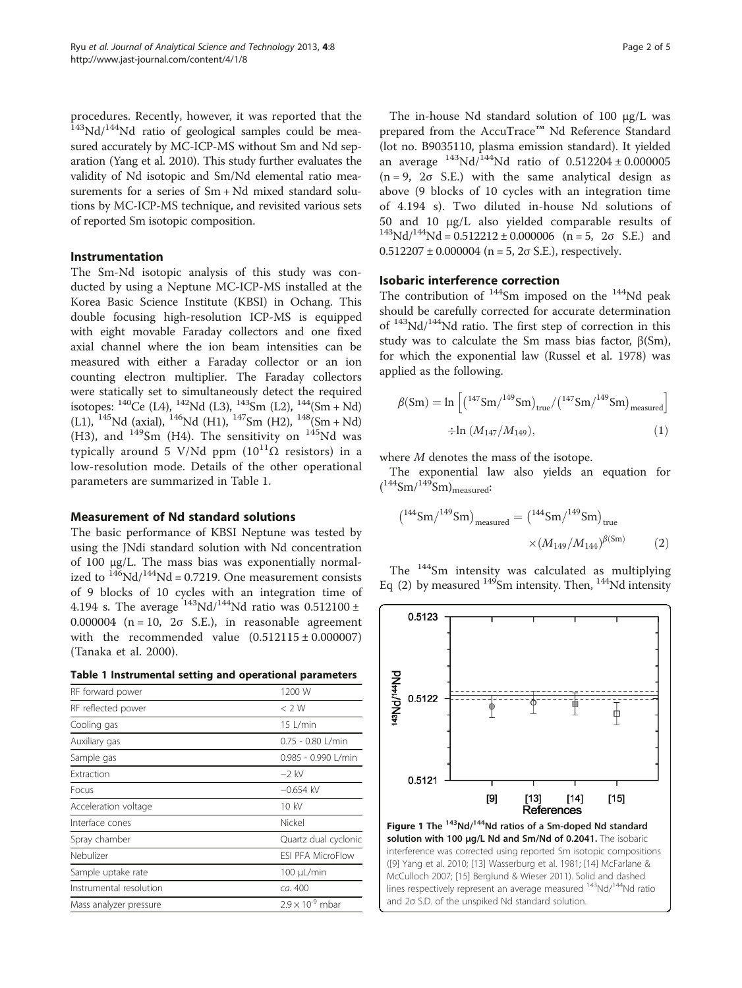<span id="page-1-0"></span>procedures. Recently, however, it was reported that the <sup>143</sup>Nd/<sup>144</sup>Nd ratio of geological samples could be measured accurately by MC-ICP-MS without Sm and Nd separation (Yang et al. [2010\)](#page-4-0). This study further evaluates the validity of Nd isotopic and Sm/Nd elemental ratio measurements for a series of Sm + Nd mixed standard solutions by MC-ICP-MS technique, and revisited various sets of reported Sm isotopic composition.

## Instrumentation

The Sm-Nd isotopic analysis of this study was conducted by using a Neptune MC-ICP-MS installed at the Korea Basic Science Institute (KBSI) in Ochang. This double focusing high-resolution ICP-MS is equipped with eight movable Faraday collectors and one fixed axial channel where the ion beam intensities can be measured with either a Faraday collector or an ion counting electron multiplier. The Faraday collectors were statically set to simultaneously detect the required isotopes:  $^{140}$ Ce (L4),  $^{142}$ Nd (L3),  $^{143}$ Sm (L2),  $^{144}$ (Sm + Nd) (L1),  $^{145}$ Nd (axial),  $^{146}$ Nd (H1),  $^{147}$ Sm (H2),  $^{148}$ (Sm + Nd) (H3), and  $149$ Sm (H4). The sensitivity on  $145$ Nd was typically around 5 V/Nd ppm  $(10^{11}\Omega \text{ resistors})$  in a low-resolution mode. Details of the other operational parameters are summarized in Table 1.

## Measurement of Nd standard solutions

The basic performance of KBSI Neptune was tested by using the JNdi standard solution with Nd concentration of 100 μg/L. The mass bias was exponentially normalized to  $146$ Nd/ $144$ Nd = 0.7219. One measurement consists of 9 blocks of 10 cycles with an integration time of 4.194 s. The average  $143\text{Nd}/144\text{Nd}$  ratio was 0.512100 ± 0.000004 ( $n = 10$ ,  $2\sigma$  S.E.), in reasonable agreement with the recommended value  $(0.512115 \pm 0.000007)$ (Tanaka et al. [2000](#page-4-0)).

|  |  | Table 1 Instrumental setting and operational parameters |  |  |  |  |
|--|--|---------------------------------------------------------|--|--|--|--|
|--|--|---------------------------------------------------------|--|--|--|--|

| RF forward power        | 1200 W                    |
|-------------------------|---------------------------|
| RF reflected power      | $<$ 2 W                   |
| Cooling gas             | $15$   /min               |
| Auxiliary gas           | $0.75 - 0.80$ L/min       |
| Sample gas              | 0.985 - 0.990 L/min       |
| Extraction              | $-2$ kV                   |
| Focus                   | $-0.654$ kV               |
| Acceleration voltage    | 10 kV                     |
| Interface cones         | Nickel                    |
| Spray chamber           | Quartz dual cyclonic      |
| Nebulizer               | <b>FSI PFA MicroFlow</b>  |
| Sample uptake rate      | $100 \mu L/min$           |
| Instrumental resolution | ca. 400                   |
| Mass analyzer pressure  | $2.9 \times 10^{-9}$ mbar |
|                         |                           |

The in-house Nd standard solution of 100 μg/L was prepared from the AccuTrace™ Nd Reference Standard (lot no. B9035110, plasma emission standard). It yielded an average  $^{143}$ Nd/ $^{144}$ Nd ratio of 0.512204 ± 0.000005  $(n = 9, 2\sigma S.E.)$  with the same analytical design as above (9 blocks of 10 cycles with an integration time of 4.194 s). Two diluted in-house Nd solutions of 50 and 10 μg/L also yielded comparable results of  $^{143}Nd/^{144}Nd = 0.512212 \pm 0.000006$  (n = 5, 2σ S.E.) and  $0.512207 \pm 0.000004$  (n = 5, 2 $\sigma$  S.E.), respectively.

## Isobaric interference correction

The contribution of  $144$ Sm imposed on the  $144$ Nd peak should be carefully corrected for accurate determination of  $143Nd/144Nd$  ratio. The first step of correction in this study was to calculate the Sm mass bias factor,  $β(Sm)$ , for which the exponential law (Russel et al. [1978\)](#page-4-0) was applied as the following.

$$
\beta({\rm Sm})=\ln\Big[{(1^{47}{\rm Sm}/^{149}{\rm Sm})_{\rm true}}/{(1^{47}{\rm Sm}/^{149}{\rm Sm})_{\rm measured}}\Big]\nonumber\\ \div\ln\,({M_{147}}/{M_{149}}), \eqno(1)
$$

where M denotes the mass of the isotope.

The exponential law also yields an equation for  $(^{144}Sm/^{149}Sm)$ <sub>measured</sub>:

$$
\left(^{144} \text{Sm}/^{149} \text{Sm}\right)_{\text{measured}} = \left(^{144} \text{Sm}/^{149} \text{Sm}\right)_{\text{true}} \times \left(M_{149}/M_{144}\right)^{\beta(\text{Sm})}
$$
(2)

The 144Sm intensity was calculated as multiplying Eq (2) by measured  $149$ Sm intensity. Then,  $144$ Nd intensity

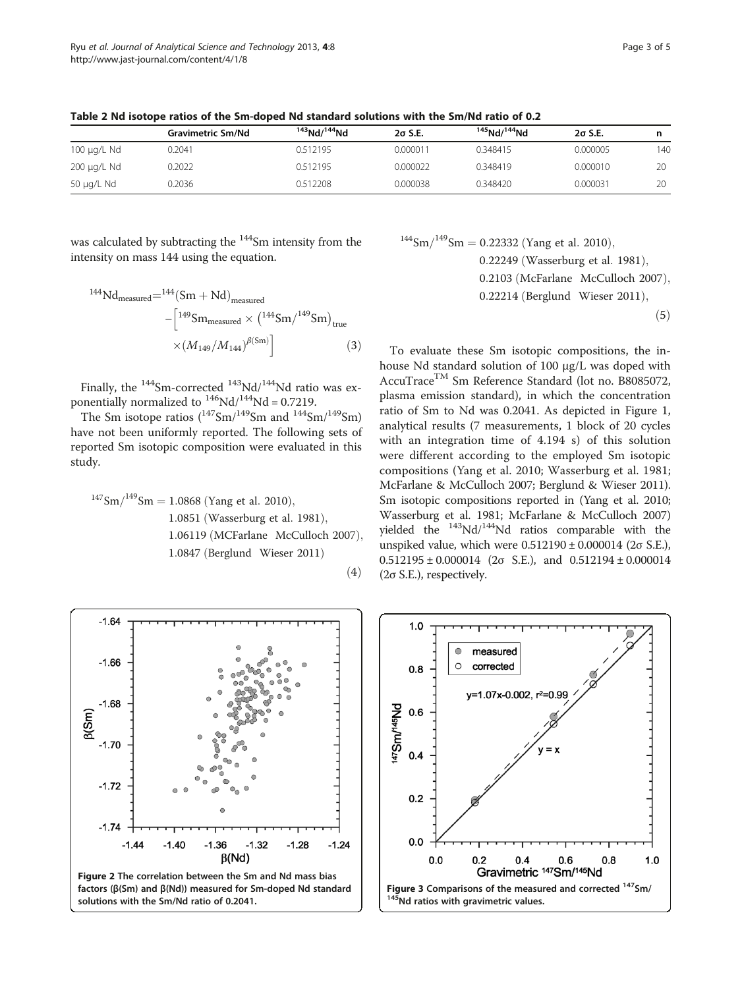|             | <b>Gravimetric Sm/Nd</b> | $143$ Nd/ $144$ Nd | $2\sigma$ S.E. | $145$ Nd/ $144$ Nd | $2\sigma$ S.E. |     |
|-------------|--------------------------|--------------------|----------------|--------------------|----------------|-----|
| 100 µg/L Nd | 0.2041                   | 0.512195           | 0.000011       | 0.348415           | 0.000005       | 140 |
| 200 µg/L Nd | 0.2022                   | 0.512195           | 0.000022       | 0.348419           | 0.000010       | 20  |
| 50 µg/L Nd  | 0.2036                   | 0.512208           | 0.000038       | 0.348420           | 0.000031       | 20  |

<span id="page-2-0"></span>Table 2 Nd isotope ratios of the Sm-doped Nd standard solutions with the Sm/Nd ratio of 0.2

was calculated by subtracting the <sup>144</sup>Sm intensity from the intensity on mass 144 using the equation.

$$
^{144}\text{Nd}_{\text{measured}} = ^{144}(\text{Sm} + \text{Nd})_{\text{measured}} - \left[ ^{149}\text{Sm}_{\text{measured}} \times \left( ^{144}\text{Sm} / ^{149}\text{Sm} \right)_{\text{true}} \times \left( M_{149} / M_{144} \right)^{\beta(\text{Sm})} \right] \tag{3}
$$

Finally, the  $144$ Sm-corrected  $143$ Nd/ $144$ Nd ratio was exponentially normalized to  $^{146}$ Nd/ $^{144}$ Nd = 0.7219.

The Sm isotope ratios  $(^{147}Sm/^{149}Sm$  and  $^{144}Sm/^{149}Sm$ have not been uniformly reported. The following sets of reported Sm isotopic composition were evaluated in this study.

 $\mathrm{^{147}Sm/^{149}Sm}=1.0868$  (Yang et al. 2010), 1.0851 (Wasserburg et al. 1981), 1.06119 (MCFarlane McCulloch 2007), 1.0847 (Berglund Wieser 2011)  $(4)$ 

# $144$ Sm $/149$ Sm = 0.22332 (Yang et al. 2010), 0.22249 (Wasserburg et al. 1981), 0.2103 (McFarlane McCulloch 2007),  $0.22214$  (Berglund Wieser 2011),  $(5)$

To evaluate these Sm isotopic compositions, the inhouse Nd standard solution of 100 μg/L was doped with AccuTraceTM Sm Reference Standard (lot no. B8085072, plasma emission standard), in which the concentration ratio of Sm to Nd was 0.2041. As depicted in Figure [1](#page-1-0), analytical results (7 measurements, 1 block of 20 cycles with an integration time of 4.194 s) of this solution were different according to the employed Sm isotopic compositions (Yang et al. [2010](#page-4-0); Wasserburg et al. [1981](#page-4-0); McFarlane & McCulloch [2007;](#page-4-0) Berglund & Wieser [2011](#page-4-0)). Sm isotopic compositions reported in (Yang et al. [2010](#page-4-0); Wasserburg et al. [1981;](#page-4-0) McFarlane & McCulloch [2007](#page-4-0)) yielded the  $^{143}$ Nd/ $^{144}$ Nd ratios comparable with the unspiked value, which were  $0.512190 \pm 0.000014$  (2 $\sigma$  S.E.),  $0.512195 \pm 0.000014$  (2 $\sigma$  S.E.), and  $0.512194 \pm 0.000014$ (2σ S.E.), respectively.



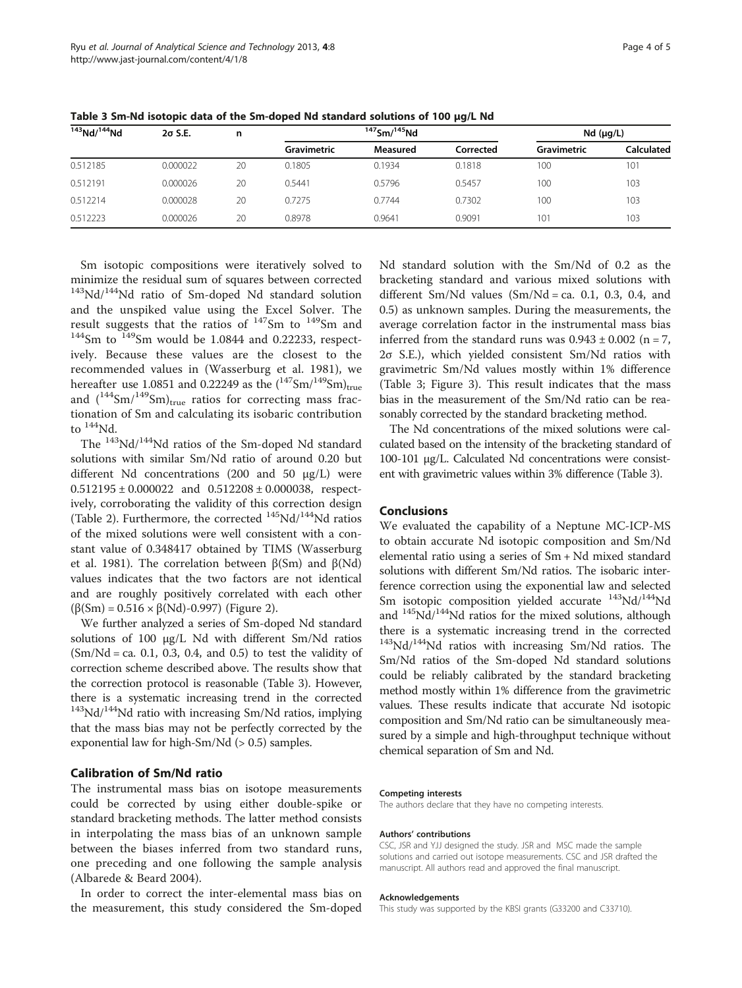| $143$ Nd/ $144$ Nd | $2\sigma$ S.E. | n  | $147$ Sm/ $145$ Nd |          |           | Nd (µq/L)       |                   |
|--------------------|----------------|----|--------------------|----------|-----------|-----------------|-------------------|
|                    |                |    | Gravimetric        | Measured | Corrected | Gravimetric     | <b>Calculated</b> |
| 0.512185           | 0.000022       | 20 | 0.1805             | 0.1934   | 0.1818    | 100             | 101               |
| 0.512191           | 0.000026       | 20 | 0.5441             | 0.5796   | 0.5457    | 100             | 103               |
| 0.512214           | 0.000028       | 20 | 0.7275             | 0.7744   | 0.7302    | 100             | 103               |
| 0.512223           | 0.000026       | 20 | 0.8978             | 0.9641   | 0.9091    | 10 <sup>1</sup> | 103               |

Table 3 Sm-Nd isotopic data of the Sm-doped Nd standard solutions of 100 μg/L Nd

Sm isotopic compositions were iteratively solved to minimize the residual sum of squares between corrected  $143$ Nd/ $144$ <sup>A</sup>Nd ratio of Sm-doped Nd standard solution and the unspiked value using the Excel Solver. The result suggests that the ratios of  $147$ Sm to  $149$ Sm and  $144$ Sm to  $149$ Sm would be 1.0844 and 0.22233, respectively. Because these values are the closest to the recommended values in (Wasserburg et al. [1981\)](#page-4-0), we hereafter use 1.0851 and 0.22249 as the  $(^{147}Sm/^{149}Sm)_{true}$ and  $(^{144}Sm/^{149}Sm)_{true}$  ratios for correcting mass fractionation of Sm and calculating its isobaric contribution to  $144$ Nd.

The 143Nd/144Nd ratios of the Sm-doped Nd standard solutions with similar Sm/Nd ratio of around 0.20 but different Nd concentrations (200 and 50 μg/L) were  $0.512195 \pm 0.000022$  and  $0.512208 \pm 0.000038$ , respectively, corroborating the validity of this correction design (Table [2](#page-2-0)). Furthermore, the corrected  $145Nd/144Nd$  ratios of the mixed solutions were well consistent with a constant value of 0.348417 obtained by TIMS (Wasserburg et al. [1981](#page-4-0)). The correlation between β(Sm) and β(Nd) values indicates that the two factors are not identical and are roughly positively correlated with each other (β(Sm) = 0.516 × β(Nd)-0.997) (Figure [2\)](#page-2-0).

We further analyzed a series of Sm-doped Nd standard solutions of 100 μg/L Nd with different Sm/Nd ratios  $(Sm/Nd = ca. 0.1, 0.3, 0.4, and 0.5)$  to test the validity of correction scheme described above. The results show that the correction protocol is reasonable (Table 3). However, there is a systematic increasing trend in the corrected  $143Nd/144Nd$  ratio with increasing Sm/Nd ratios, implying that the mass bias may not be perfectly corrected by the exponential law for high-Sm/Nd (> 0.5) samples.

## Calibration of Sm/Nd ratio

The instrumental mass bias on isotope measurements could be corrected by using either double-spike or standard bracketing methods. The latter method consists in interpolating the mass bias of an unknown sample between the biases inferred from two standard runs, one preceding and one following the sample analysis (Albarede & Beard [2004\)](#page-4-0).

In order to correct the inter-elemental mass bias on the measurement, this study considered the Sm-doped Nd standard solution with the Sm/Nd of 0.2 as the bracketing standard and various mixed solutions with different Sm/Nd values  $(Sm/Nd = ca. 0.1, 0.3, 0.4, and$ 0.5) as unknown samples. During the measurements, the average correlation factor in the instrumental mass bias inferred from the standard runs was  $0.943 \pm 0.002$  (n = 7, 2σ S.E.), which yielded consistent Sm/Nd ratios with gravimetric Sm/Nd values mostly within 1% difference (Table 3; Figure [3](#page-2-0)). This result indicates that the mass bias in the measurement of the Sm/Nd ratio can be reasonably corrected by the standard bracketing method.

The Nd concentrations of the mixed solutions were calculated based on the intensity of the bracketing standard of 100-101 μg/L. Calculated Nd concentrations were consistent with gravimetric values within 3% difference (Table 3).

## Conclusions

We evaluated the capability of a Neptune MC-ICP-MS to obtain accurate Nd isotopic composition and Sm/Nd elemental ratio using a series of Sm + Nd mixed standard solutions with different Sm/Nd ratios. The isobaric interference correction using the exponential law and selected Sm isotopic composition yielded accurate  $143\text{Nd}/144\text{Nd}$ and  $145Nd/144Nd$  ratios for the mixed solutions, although there is a systematic increasing trend in the corrected <sup>143</sup>Nd/<sup>144</sup>Nd ratios with increasing Sm/Nd ratios. The Sm/Nd ratios of the Sm-doped Nd standard solutions could be reliably calibrated by the standard bracketing method mostly within 1% difference from the gravimetric values. These results indicate that accurate Nd isotopic composition and Sm/Nd ratio can be simultaneously measured by a simple and high-throughput technique without chemical separation of Sm and Nd.

#### Competing interests

The authors declare that they have no competing interests.

#### Authors' contributions

CSC, JSR and YJJ designed the study. JSR and MSC made the sample solutions and carried out isotope measurements. CSC and JSR drafted the manuscript. All authors read and approved the final manuscript.

#### Acknowledgements

This study was supported by the KBSI grants (G33200 and C33710).